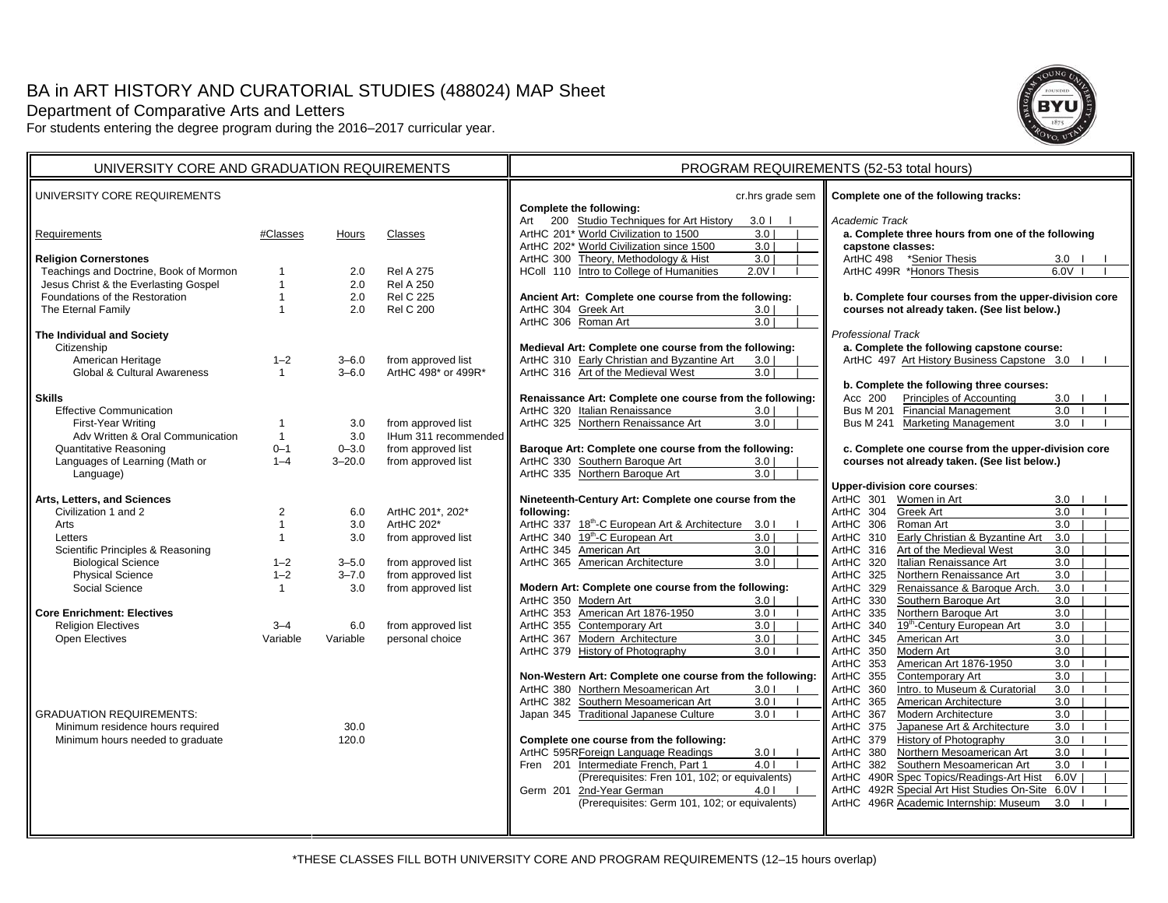# BA in ART HISTORY AND CURATORIAL STUDIES (488024) MAP Sheet Department of Comparative Arts and Letters

For students entering the degree program during the 2016–2017 curricular year.



| UNIVERSITY CORE AND GRADUATION REQUIREMENTS |                |            |                      | PROGRAM REQUIREMENTS (52-53 total hours)                                                                                                                                         |                                                                                            |  |
|---------------------------------------------|----------------|------------|----------------------|----------------------------------------------------------------------------------------------------------------------------------------------------------------------------------|--------------------------------------------------------------------------------------------|--|
| UNIVERSITY CORE REQUIREMENTS                |                |            |                      | cr.hrs grade sem<br>Complete the following:                                                                                                                                      | Complete one of the following tracks:                                                      |  |
| Requirements                                | #Classes       | Hours      | Classes              | 200 Studio Techniques for Art History<br>3.0 <sub>1</sub><br>Art<br>ArtHC 201* World Civilization to 1500<br>3.0<br>ArtHC 202* World Civilization since 1500<br>3.0 <sub>1</sub> | Academic Track<br>a. Complete three hours from one of the following<br>capstone classes:   |  |
| <b>Religion Cornerstones</b>                |                |            |                      | 3.0<br>Theory, Methodology & Hist<br>ArtHC 300                                                                                                                                   | ArtHC 498 *Senior Thesis<br>3.0                                                            |  |
| Teachings and Doctrine, Book of Mormon      | 1              | 2.0        | <b>Rel A 275</b>     | Intro to College of Humanities<br>2.0V<br>HColl 110                                                                                                                              | ArtHC 499R *Honors Thesis<br>6.0V                                                          |  |
| Jesus Christ & the Everlasting Gospel       | $\overline{1}$ | 2.0        | <b>Rel A 250</b>     |                                                                                                                                                                                  |                                                                                            |  |
| Foundations of the Restoration              | $\overline{1}$ | 2.0        | <b>Rel C 225</b>     | Ancient Art: Complete one course from the following:                                                                                                                             | b. Complete four courses from the upper-division core                                      |  |
| The Eternal Family                          | $\overline{1}$ | 2.0        | <b>Rel C 200</b>     | ArtHC 304 Greek Art<br>3.0 <sub>1</sub><br>ArtHC 306 Roman Art<br>3.0                                                                                                            | courses not already taken. (See list below.)                                               |  |
| The Individual and Society                  |                |            |                      |                                                                                                                                                                                  | <b>Professional Track</b>                                                                  |  |
| Citizenship                                 |                |            |                      | Medieval Art: Complete one course from the following:                                                                                                                            | a. Complete the following capstone course:                                                 |  |
| American Heritage                           | $1 - 2$        | $3 - 6.0$  | from approved list   | ArtHC 310 Early Christian and Byzantine Art<br>3.0                                                                                                                               | ArtHC 497 Art History Business Capstone 3.0                                                |  |
| <b>Global &amp; Cultural Awareness</b>      | $\mathbf{1}$   | $3 - 6.0$  | ArtHC 498* or 499R*  | ArtHC 316 Art of the Medieval West<br>3.0                                                                                                                                        |                                                                                            |  |
|                                             |                |            |                      |                                                                                                                                                                                  | b. Complete the following three courses:                                                   |  |
| <b>Skills</b>                               |                |            |                      | Renaissance Art: Complete one course from the following:                                                                                                                         | <b>Principles of Accounting</b><br>3.0<br>Acc 200                                          |  |
| <b>Effective Communication</b>              |                |            |                      | ArtHC 320 Italian Renaissance<br>3.0                                                                                                                                             | Bus M 201 Financial Management<br>3.0                                                      |  |
| First-Year Writing                          | $\mathbf{1}$   | 3.0        | from approved list   | ArtHC 325 Northern Renaissance Art<br>3.0 <sub>1</sub>                                                                                                                           | Bus M 241 Marketing Management<br>3.0                                                      |  |
| Adv Written & Oral Communication            | $\overline{1}$ | 3.0        | IHum 311 recommended |                                                                                                                                                                                  |                                                                                            |  |
| <b>Quantitative Reasoning</b>               | $0 - 1$        | $0 - 3.0$  | from approved list   | Baroque Art: Complete one course from the following:                                                                                                                             | c. Complete one course from the upper-division core                                        |  |
| Languages of Learning (Math or              | $1 - 4$        | $3 - 20.0$ | from approved list   | ArtHC 330 Southern Baroque Art<br>3.0                                                                                                                                            | courses not already taken. (See list below.)                                               |  |
| Language)                                   |                |            |                      | ArtHC 335 Northern Baroque Art<br>3.0                                                                                                                                            | <b>Upper-division core courses:</b>                                                        |  |
| Arts, Letters, and Sciences                 |                |            |                      | Nineteenth-Century Art: Complete one course from the                                                                                                                             | ArtHC 301<br>Women in Art<br>3.0                                                           |  |
| Civilization 1 and 2                        | 2              | 6.0        | ArtHC 201*, 202*     | following:                                                                                                                                                                       | Greek Art<br>ArtHC 304<br>3.0                                                              |  |
| Arts                                        | $\overline{1}$ | 3.0        | ArtHC 202*           | ArtHC 337 18th-C European Art & Architecture 3.0 I                                                                                                                               | ArtHC 306<br>Roman Art<br>3.0                                                              |  |
| Letters                                     | $\overline{1}$ | 3.0        | from approved list   | 19 <sup>th</sup> -C European Art<br>ArtHC 340<br>3.0                                                                                                                             | Early Christian & Byzantine Art<br>ArtHC 310<br>3.0                                        |  |
| Scientific Principles & Reasoning           |                |            |                      | American Art<br>3.0<br>ArtHC 345                                                                                                                                                 | Art of the Medieval West<br>3.0<br>ArtHC 316                                               |  |
| <b>Biological Science</b>                   | $1 - 2$        | $3 - 5.0$  | from approved list   | ArtHC 365 American Architecture<br>3.0                                                                                                                                           | Italian Renaissance Art<br>$\overline{3.0}$<br>ArtHC 320                                   |  |
| <b>Physical Science</b>                     | $1 - 2$        | $3 - 7.0$  | from approved list   |                                                                                                                                                                                  | ArtHC 325<br>Northern Renaissance Art<br>3.0                                               |  |
| Social Science                              | $\mathbf{1}$   | 3.0        | from approved list   | Modern Art: Complete one course from the following:                                                                                                                              | Renaissance & Baroque Arch.<br>3.0<br>ArtHC<br>329                                         |  |
|                                             |                |            |                      | ArtHC 350 Modern Art<br>3.0                                                                                                                                                      | Southern Baroque Art<br>3.0<br>ArtHC<br>330                                                |  |
| <b>Core Enrichment: Electives</b>           |                |            |                      | ArtHC 353 American Art 1876-1950<br>3.01                                                                                                                                         | Northern Baroque Art<br>3.0<br>ArtHC 335                                                   |  |
| <b>Religion Electives</b>                   | $3 - 4$        | 6.0        | from approved list   | ArtHC 355<br><b>Contemporary Art</b><br>3.0                                                                                                                                      | 19 <sup>th</sup> -Century European Art<br>3.0<br>ArtHC<br>340                              |  |
| Open Electives                              | Variable       | Variable   | personal choice      | ArtHC 367 Modern Architecture<br>3.0                                                                                                                                             | American Art<br>3.0<br>ArtHC<br>345                                                        |  |
|                                             |                |            |                      | ArtHC 379 History of Photography<br>3.01                                                                                                                                         | 350<br>Modern Art<br>3.0<br>ArtHC                                                          |  |
|                                             |                |            |                      |                                                                                                                                                                                  | 3.0<br>ArtHC<br>353<br>American Art 1876-1950                                              |  |
|                                             |                |            |                      | Non-Western Art: Complete one course from the following:                                                                                                                         | 355<br>Contemporary Art<br>3.0<br>ArtHC                                                    |  |
|                                             |                |            |                      | ArtHC 380 Northern Mesoamerican Art<br>3.01                                                                                                                                      | Intro. to Museum & Curatorial<br>$\overline{3.0}$<br>360<br>ArtHC                          |  |
|                                             |                |            |                      | ArtHC 382 Southern Mesoamerican Art<br>3.01                                                                                                                                      | American Architecture<br>3.0<br>ArtHC<br>365                                               |  |
| <b>GRADUATION REQUIREMENTS:</b>             |                |            |                      | Japan 345 Traditional Japanese Culture<br>3.01                                                                                                                                   | ArtHC 367<br>Modern Architecture<br>3.0                                                    |  |
| Minimum residence hours required            |                | 30.0       |                      |                                                                                                                                                                                  | Japanese Art & Architecture<br>3.0<br>ArtHC<br>375<br><b>History of Photography</b><br>3.0 |  |
| Minimum hours needed to graduate            |                | 120.0      |                      | Complete one course from the following:<br>ArtHC 595RForeign Language Readings<br>3.01                                                                                           | ArtHC<br>379<br>Northern Mesoamerican Art<br>3.0<br>ArtHC<br>380                           |  |
|                                             |                |            |                      | Fren 201 Intermediate French, Part 1<br>4.01                                                                                                                                     | Southern Mesoamerican Art<br>3.0<br>382<br>ArtHC                                           |  |
|                                             |                |            |                      | (Prerequisites: Fren 101, 102; or equivalents)                                                                                                                                   | 490R Spec Topics/Readings-Art Hist<br>6.0V<br>ArtHC                                        |  |
|                                             |                |            |                      | Germ 201 2nd-Year German<br>4.0 <sub>1</sub>                                                                                                                                     | 492R Special Art Hist Studies On-Site 6.0V<br>ArtHC                                        |  |
|                                             |                |            |                      | (Prerequisites: Germ 101, 102; or equivalents)                                                                                                                                   | 496R Academic Internship: Museum<br>3.0<br>ArtHC                                           |  |
|                                             |                |            |                      |                                                                                                                                                                                  |                                                                                            |  |
|                                             |                |            |                      |                                                                                                                                                                                  |                                                                                            |  |
|                                             |                |            |                      |                                                                                                                                                                                  |                                                                                            |  |